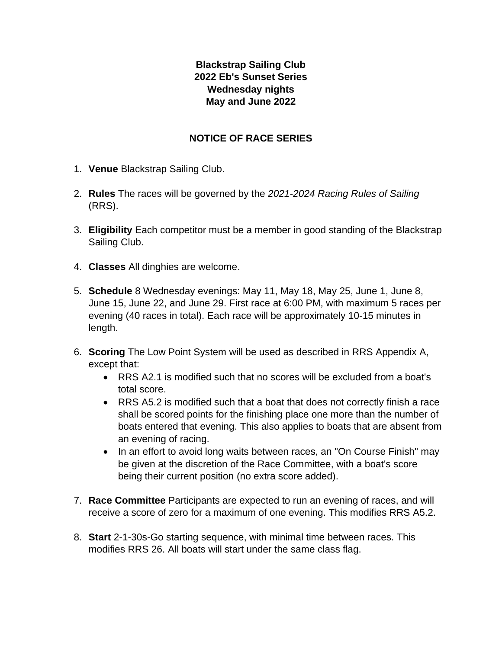## **Blackstrap Sailing Club 2022 Eb's Sunset Series Wednesday nights May and June 2022**

## **NOTICE OF RACE SERIES**

- 1. **Venue** Blackstrap Sailing Club.
- 2. **Rules** The races will be governed by the *2021-2024 Racing Rules of Sailing* (RRS).
- 3. **Eligibility** Each competitor must be a member in good standing of the Blackstrap Sailing Club.
- 4. **Classes** All dinghies are welcome.
- 5. **Schedule** 8 Wednesday evenings: May 11, May 18, May 25, June 1, June 8, June 15, June 22, and June 29. First race at 6:00 PM, with maximum 5 races per evening (40 races in total). Each race will be approximately 10-15 minutes in length.
- 6. **Scoring** The Low Point System will be used as described in RRS Appendix A, except that:
	- RRS A2.1 is modified such that no scores will be excluded from a boat's total score.
	- RRS A5.2 is modified such that a boat that does not correctly finish a race shall be scored points for the finishing place one more than the number of boats entered that evening. This also applies to boats that are absent from an evening of racing.
	- In an effort to avoid long waits between races, an "On Course Finish" may be given at the discretion of the Race Committee, with a boat's score being their current position (no extra score added).
- 7. **Race Committee** Participants are expected to run an evening of races, and will receive a score of zero for a maximum of one evening. This modifies RRS A5.2.
- 8. **Start** 2-1-30s-Go starting sequence, with minimal time between races. This modifies RRS 26. All boats will start under the same class flag.